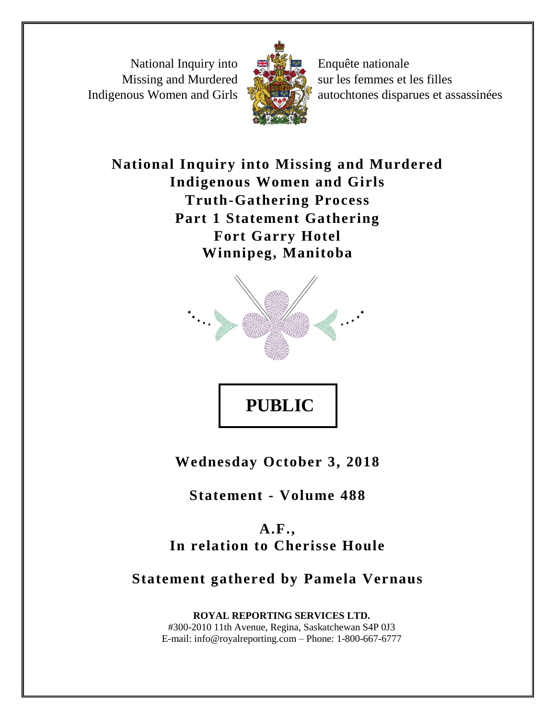National Inquiry into Missing and Murdered Indigenous Women and Girls



Enquête nationale sur les femmes et les filles autochtones disparues et assassinées

**National Inquiry into Missing and Murdered Indigenous Women and Girls Truth-Gathering Process Part 1 Statement Gathering Fort Garry Hotel Winnipeg, Manitoba**



**Wednesday October 3, 2018**

**Statement - Volume 488**

**A.F., In relation to Cherisse Houle**

# **Statement gathered by Pamela Vernaus**

**ROYAL REPORTING SERVICES LTD.** #300-2010 11th Avenue, Regina, Saskatchewan S4P 0J3 E-mail: info@royalreporting.com – Phone: 1-800-667-6777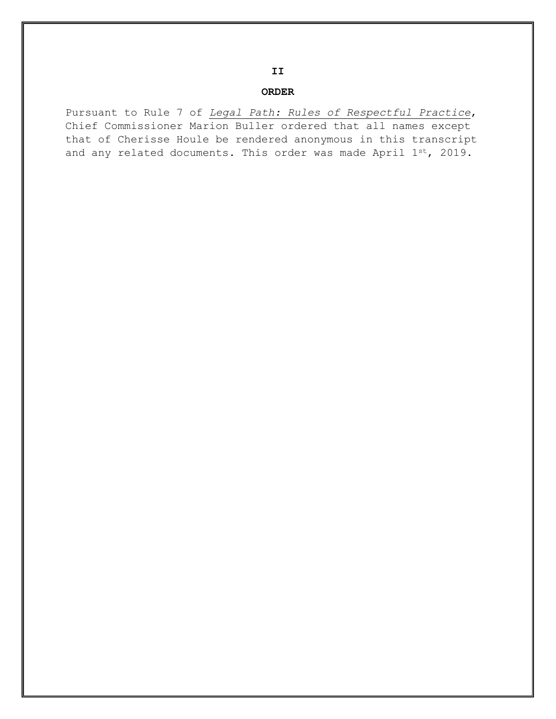#### **ORDER**

Pursuant to Rule 7 of *Legal Path: Rules of Respectful Practice*, Chief Commissioner Marion Buller ordered that all names except that of Cherisse Houle be rendered anonymous in this transcript and any related documents. This order was made April 1st, 2019.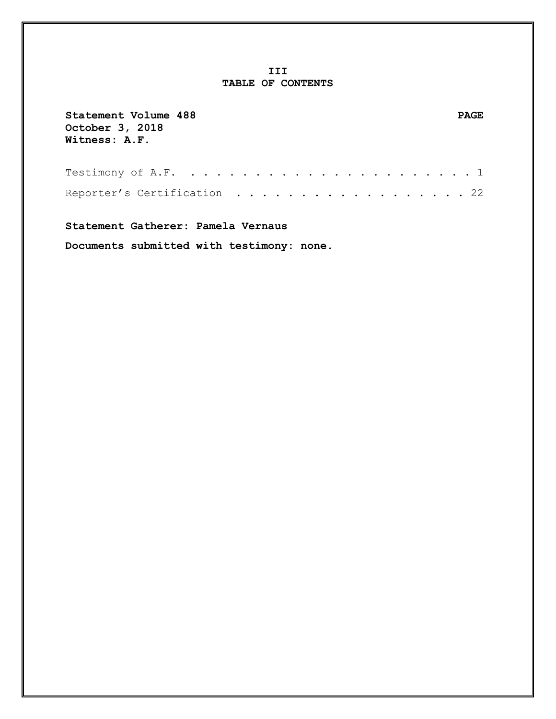### **III TABLE OF CONTENTS**

| Statement Volume 488<br>October 3, 2018<br>Witness: A.F. | PAGE. |
|----------------------------------------------------------|-------|
|                                                          |       |
| Reporter's Certification 22                              |       |

**Statement Gatherer: Pamela Vernaus**

**Documents submitted with testimony: none.**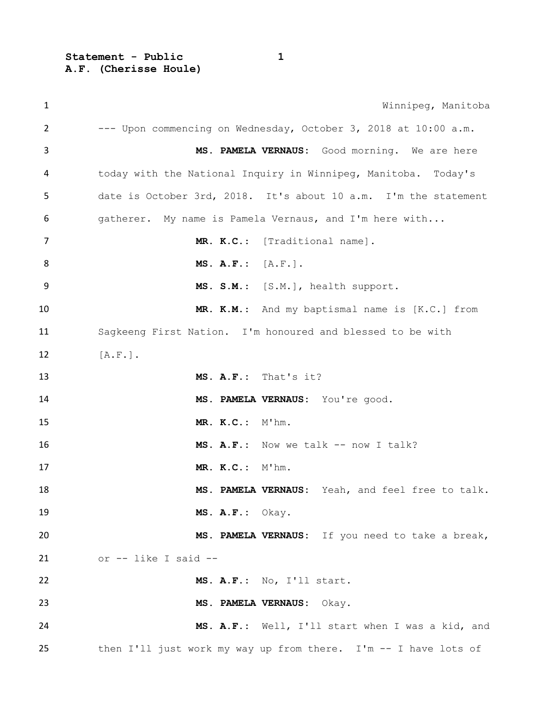**Statement - Public 1 A.F. (Cherisse Houle)**

 Winnipeg, Manitoba --- Upon commencing on Wednesday, October 3, 2018 at 10:00 a.m. **MS. PAMELA VERNAUS:** Good morning. We are here today with the National Inquiry in Winnipeg, Manitoba. Today's date is October 3rd, 2018. It's about 10 a.m. I'm the statement gatherer. My name is Pamela Vernaus, and I'm here with... **MR. K.C.**: [Traditional name]. **MS. A.F.:** [A.F.]. **MS. S.M.**: [S.M.], health support. **MR. K.M.**: And my baptismal name is [K.C.] from Sagkeeng First Nation. I'm honoured and blessed to be with 12 [A.F.]. **MS. A.F.:** That's it? **MS. PAMELA VERNAUS:** You're good. **MR. K.C.:** M'hm. **MS. A.F.:** Now we talk -- now I talk? **MR. K.C.:** M'hm. **MS. PAMELA VERNAUS:** Yeah, and feel free to talk. **MS. A.F.:** Okay. **MS. PAMELA VERNAUS:** If you need to take a break, or  $--$  like I said  $--$  **MS. A.F.:** No, I'll start. **MS. PAMELA VERNAUS:** Okay. **MS. A.F.:** Well, I'll start when I was a kid, and then I'll just work my way up from there. I'm -- I have lots of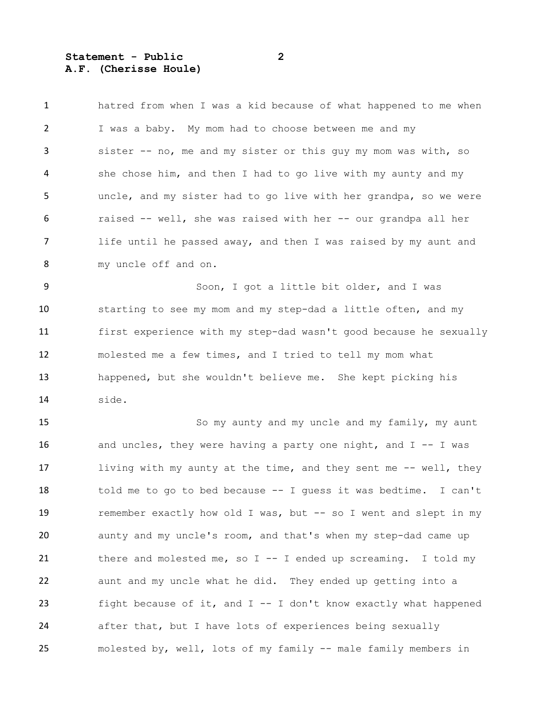**Statement - Public 2 A.F. (Cherisse Houle)**

 hatred from when I was a kid because of what happened to me when I was a baby. My mom had to choose between me and my sister -- no, me and my sister or this guy my mom was with, so she chose him, and then I had to go live with my aunty and my uncle, and my sister had to go live with her grandpa, so we were raised -- well, she was raised with her -- our grandpa all her 7 life until he passed away, and then I was raised by my aunt and my uncle off and on.

9 Soon, I got a little bit older, and I was starting to see my mom and my step-dad a little often, and my first experience with my step-dad wasn't good because he sexually molested me a few times, and I tried to tell my mom what happened, but she wouldn't believe me. She kept picking his side.

 So my aunty and my uncle and my family, my aunt 16 and uncles, they were having a party one night, and I -- I was 17 living with my aunty at the time, and they sent me -- well, they told me to go to bed because -- I guess it was bedtime. I can't 19 remember exactly how old I was, but -- so I went and slept in my aunty and my uncle's room, and that's when my step-dad came up there and molested me, so I -- I ended up screaming. I told my aunt and my uncle what he did. They ended up getting into a fight because of it, and I -- I don't know exactly what happened after that, but I have lots of experiences being sexually 25 molested by, well, lots of my family -- male family members in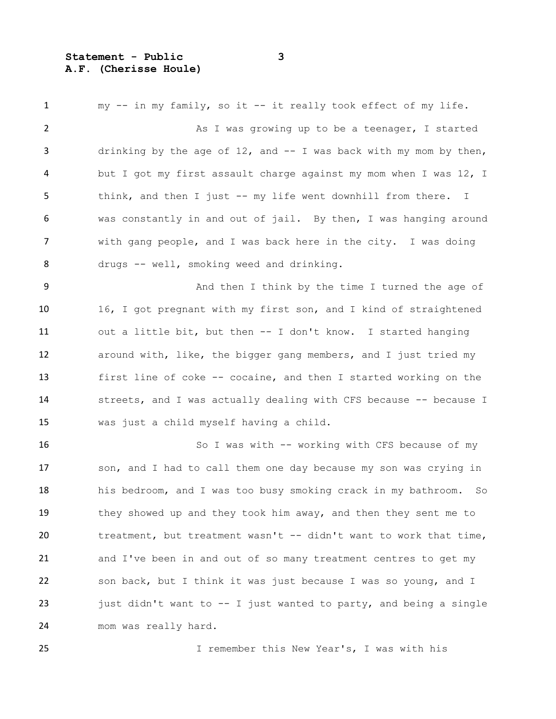#### **Statement - Public 3 A.F. (Cherisse Houle)**

 my -- in my family, so it -- it really took effect of my life. 2 As I was growing up to be a teenager, I started 3 drinking by the age of 12, and -- I was back with my mom by then, but I got my first assault charge against my mom when I was 12, I think, and then I just -- my life went downhill from there. I was constantly in and out of jail. By then, I was hanging around with gang people, and I was back here in the city. I was doing 8 drugs -- well, smoking weed and drinking. And then I think by the time I turned the age of 16, I got pregnant with my first son, and I kind of straightened out a little bit, but then -- I don't know. I started hanging around with, like, the bigger gang members, and I just tried my first line of coke -- cocaine, and then I started working on the 14 streets, and I was actually dealing with CFS because -- because I was just a child myself having a child. 16 So I was with -- working with CFS because of my 17 son, and I had to call them one day because my son was crying in his bedroom, and I was too busy smoking crack in my bathroom. So 19 they showed up and they took him away, and then they sent me to treatment, but treatment wasn't -- didn't want to work that time, and I've been in and out of so many treatment centres to get my son back, but I think it was just because I was so young, and I just didn't want to -- I just wanted to party, and being a single mom was really hard.

I remember this New Year's, I was with his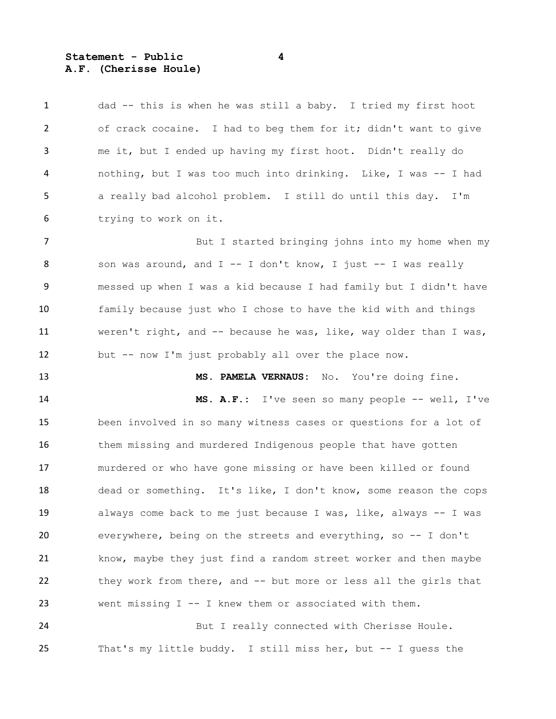### **Statement - Public 4 A.F. (Cherisse Houle)**

 dad -- this is when he was still a baby. I tried my first hoot of crack cocaine. I had to beg them for it; didn't want to give me it, but I ended up having my first hoot. Didn't really do nothing, but I was too much into drinking. Like, I was -- I had a really bad alcohol problem. I still do until this day. I'm trying to work on it.

**But I** started bringing johns into my home when my 8 son was around, and I -- I don't know, I just -- I was really messed up when I was a kid because I had family but I didn't have family because just who I chose to have the kid with and things 11 weren't right, and -- because he was, like, way older than I was, but -- now I'm just probably all over the place now.

**MS. PAMELA VERNAUS:** No. You're doing fine.

 **MS. A.F.:** I've seen so many people -- well, I've been involved in so many witness cases or questions for a lot of 16 them missing and murdered Indigenous people that have gotten murdered or who have gone missing or have been killed or found dead or something. It's like, I don't know, some reason the cops always come back to me just because I was, like, always -- I was everywhere, being on the streets and everything, so -- I don't know, maybe they just find a random street worker and then maybe they work from there, and -- but more or less all the girls that went missing I -- I knew them or associated with them.

 But I really connected with Cherisse Houle. That's my little buddy. I still miss her, but -- I guess the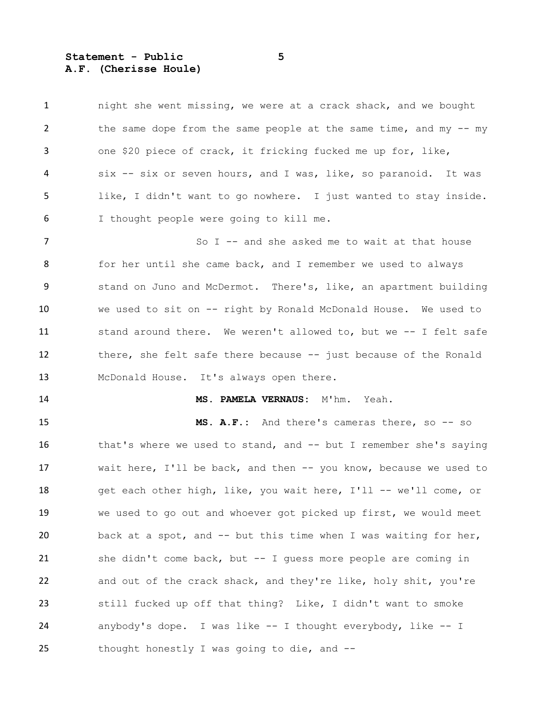**Statement - Public 5 A.F. (Cherisse Houle)**

 night she went missing, we were at a crack shack, and we bought 2 the same dope from the same people at the same time, and my -- my one \$20 piece of crack, it fricking fucked me up for, like, six -- six or seven hours, and I was, like, so paranoid. It was like, I didn't want to go nowhere. I just wanted to stay inside. I thought people were going to kill me.

7 So I -- and she asked me to wait at that house 8 for her until she came back, and I remember we used to always stand on Juno and McDermot. There's, like, an apartment building we used to sit on -- right by Ronald McDonald House. We used to 11 stand around there. We weren't allowed to, but we -- I felt safe 12 there, she felt safe there because -- just because of the Ronald McDonald House. It's always open there.

**MS. PAMELA VERNAUS:** M'hm. Yeah.

 **MS. A.F.:** And there's cameras there, so -- so 16 that's where we used to stand, and -- but I remember she's saying wait here, I'll be back, and then -- you know, because we used to 18 get each other high, like, you wait here, I'll -- we'll come, or we used to go out and whoever got picked up first, we would meet back at a spot, and -- but this time when I was waiting for her, she didn't come back, but -- I guess more people are coming in and out of the crack shack, and they're like, holy shit, you're still fucked up off that thing? Like, I didn't want to smoke anybody's dope. I was like -- I thought everybody, like -- I thought honestly I was going to die, and --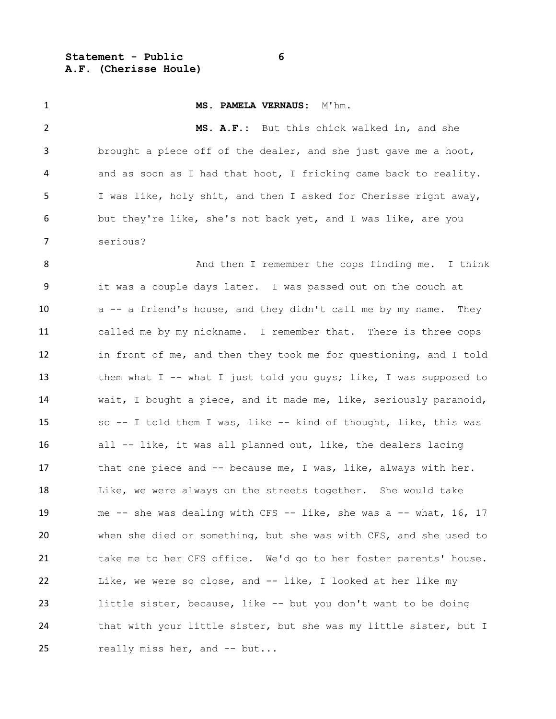**Statement - Public 6 A.F. (Cherisse Houle)**

 **MS. PAMELA VERNAUS:** M'hm. **MS. A.F.:** But this chick walked in, and she brought a piece off of the dealer, and she just gave me a hoot, and as soon as I had that hoot, I fricking came back to reality. I was like, holy shit, and then I asked for Cherisse right away, but they're like, she's not back yet, and I was like, are you serious? 8 And then I remember the cops finding me. I think it was a couple days later. I was passed out on the couch at 10 a -- a friend's house, and they didn't call me by my name. They called me by my nickname. I remember that. There is three cops in front of me, and then they took me for questioning, and I told 13 them what I -- what I just told you guys; like, I was supposed to wait, I bought a piece, and it made me, like, seriously paranoid, so -- I told them I was, like -- kind of thought, like, this was all -- like, it was all planned out, like, the dealers lacing 17 that one piece and -- because me, I was, like, always with her. 18 Like, we were always on the streets together. She would take me -- she was dealing with CFS -- like, she was a -- what, 16, 17 when she died or something, but she was with CFS, and she used to take me to her CFS office. We'd go to her foster parents' house. Like, we were so close, and -- like, I looked at her like my little sister, because, like -- but you don't want to be doing 24 that with your little sister, but she was my little sister, but I 25 really miss her, and -- but...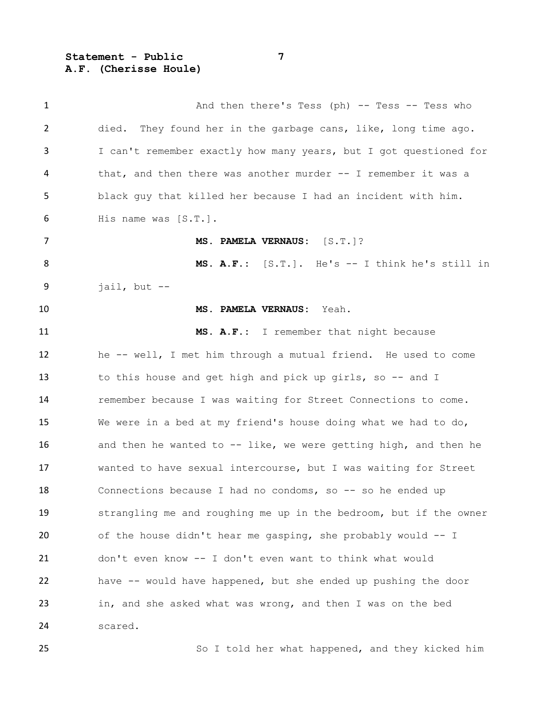**Statement - Public 7 A.F. (Cherisse Houle)**

| $\mathbf{1}$   | And then there's Tess (ph) -- Tess -- Tess who                    |
|----------------|-------------------------------------------------------------------|
| $\overline{2}$ | died. They found her in the garbage cans, like, long time ago.    |
| 3              | I can't remember exactly how many years, but I got questioned for |
| 4              | that, and then there was another murder $-$ - I remember it was a |
| 5              | black guy that killed her because I had an incident with him.     |
| 6              | His name was [S.T.].                                              |
| 7              | MS. PAMELA VERNAUS: [S.T.]?                                       |
| 8              | MS. A.F.: [S.T.]. He's -- I think he's still in                   |
| 9              | jail, but $-$                                                     |
| 10             | MS. PAMELA VERNAUS:<br>Yeah.                                      |
| 11             | MS. A.F.: I remember that night because                           |
| 12             | he -- well, I met him through a mutual friend. He used to come    |
| 13             | to this house and get high and pick up girls, so -- and I         |
| 14             | remember because I was waiting for Street Connections to come.    |
| 15             | We were in a bed at my friend's house doing what we had to do,    |
| 16             | and then he wanted to -- like, we were getting high, and then he  |
| 17             | wanted to have sexual intercourse, but I was waiting for Street   |
| 18             | Connections because I had no condoms, so -- so he ended up        |
| 19             | strangling me and roughing me up in the bedroom, but if the owner |
| 20             | of the house didn't hear me gasping, she probably would -- I      |
| 21             | don't even know -- I don't even want to think what would          |
| 22             | have -- would have happened, but she ended up pushing the door    |
| 23             | in, and she asked what was wrong, and then I was on the bed       |
| 24             | scared.                                                           |

So I told her what happened, and they kicked him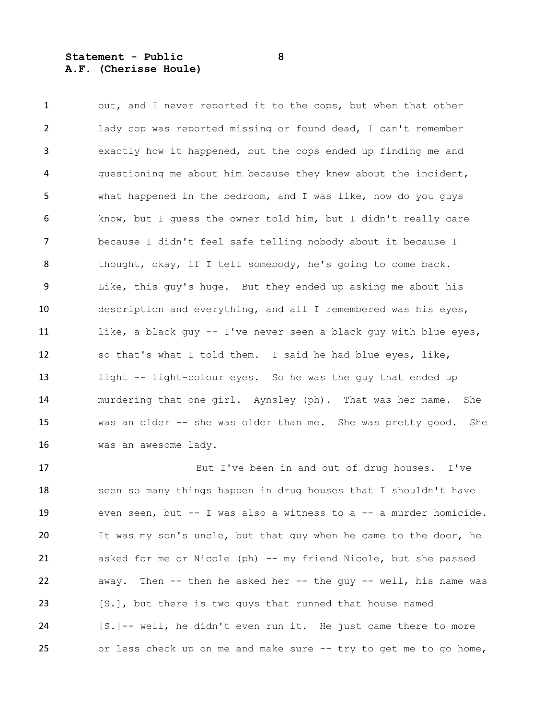#### **Statement - Public 8 A.F. (Cherisse Houle)**

1 out, and I never reported it to the cops, but when that other lady cop was reported missing or found dead, I can't remember exactly how it happened, but the cops ended up finding me and questioning me about him because they knew about the incident, what happened in the bedroom, and I was like, how do you guys know, but I guess the owner told him, but I didn't really care because I didn't feel safe telling nobody about it because I thought, okay, if I tell somebody, he's going to come back. Like, this guy's huge. But they ended up asking me about his description and everything, and all I remembered was his eyes, 11 like, a black guy -- I've never seen a black guy with blue eyes, so that's what I told them. I said he had blue eyes, like, light -- light-colour eyes. So he was the guy that ended up murdering that one girl. Aynsley (ph). That was her name. She 15 was an older -- she was older than me. She was pretty good. She was an awesome lady.

 But I've been in and out of drug houses. I've 18 seen so many things happen in drug houses that I shouldn't have 19 even seen, but -- I was also a witness to a -- a murder homicide. It was my son's uncle, but that guy when he came to the door, he asked for me or Nicole (ph) -- my friend Nicole, but she passed 22 away. Then -- then he asked her -- the guy -- well, his name was 23 [S.], but there is two guys that runned that house named [S.]-- well, he didn't even run it. He just came there to more or less check up on me and make sure -- try to get me to go home,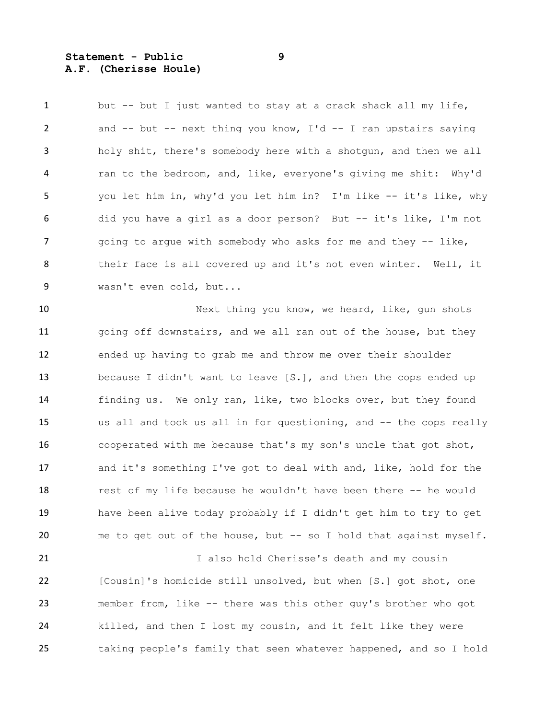**Statement - Public 9 A.F. (Cherisse Houle)**

1 but -- but I just wanted to stay at a crack shack all my life, and -- but -- next thing you know, I'd -- I ran upstairs saying holy shit, there's somebody here with a shotgun, and then we all ran to the bedroom, and, like, everyone's giving me shit: Why'd you let him in, why'd you let him in? I'm like -- it's like, why did you have a girl as a door person? But -- it's like, I'm not 7 going to argue with somebody who asks for me and they -- like, their face is all covered up and it's not even winter. Well, it wasn't even cold, but...

10 Next thing you know, we heard, like, gun shots 11 going off downstairs, and we all ran out of the house, but they ended up having to grab me and throw me over their shoulder because I didn't want to leave [S.], and then the cops ended up finding us. We only ran, like, two blocks over, but they found us all and took us all in for questioning, and -- the cops really cooperated with me because that's my son's uncle that got shot, and it's something I've got to deal with and, like, hold for the 18 rest of my life because he wouldn't have been there -- he would have been alive today probably if I didn't get him to try to get 20 me to get out of the house, but -- so I hold that against myself.

21 1 I also hold Cherisse's death and my cousin [Cousin]'s homicide still unsolved, but when [S.] got shot, one member from, like -- there was this other guy's brother who got killed, and then I lost my cousin, and it felt like they were taking people's family that seen whatever happened, and so I hold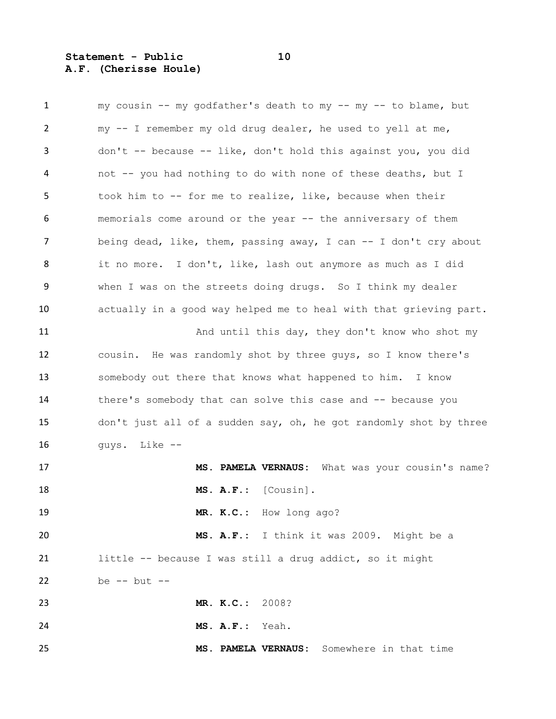## **Statement - Public 10 A.F. (Cherisse Houle)**

| 1  | my cousin -- my godfather's death to my -- my -- to blame, but    |
|----|-------------------------------------------------------------------|
| 2  | my -- I remember my old drug dealer, he used to yell at me,       |
| 3  | don't -- because -- like, don't hold this against you, you did    |
| 4  | not -- you had nothing to do with none of these deaths, but I     |
| 5  | took him to -- for me to realize, like, because when their        |
| 6  | memorials come around or the year -- the anniversary of them      |
| 7  | being dead, like, them, passing away, I can -- I don't cry about  |
| 8  | it no more. I don't, like, lash out anymore as much as I did      |
| 9  | when I was on the streets doing drugs. So I think my dealer       |
| 10 | actually in a good way helped me to heal with that grieving part. |
| 11 | And until this day, they don't know who shot my                   |
| 12 | cousin. He was randomly shot by three guys, so I know there's     |
| 13 | somebody out there that knows what happened to him. I know        |
| 14 | there's somebody that can solve this case and -- because you      |
| 15 | don't just all of a sudden say, oh, he got randomly shot by three |
| 16 | guys. Like --                                                     |
| 17 | MS. PAMELA VERNAUS: What was your cousin's name?                  |
| 18 | [Cousin].<br>$MS. A.F.$ :                                         |
| 19 | MR. K.C.: How long ago?                                           |
| 20 | MS. A.F.: I think it was 2009. Might be a                         |
| 21 | little -- because I was still a drug addict, so it might          |
| 22 | be $--$ but $--$                                                  |
| 23 | MR. K.C.: 2008?                                                   |
| 24 | MS. A.F.: Yeah.                                                   |
| 25 | MS. PAMELA VERNAUS: Somewhere in that time                        |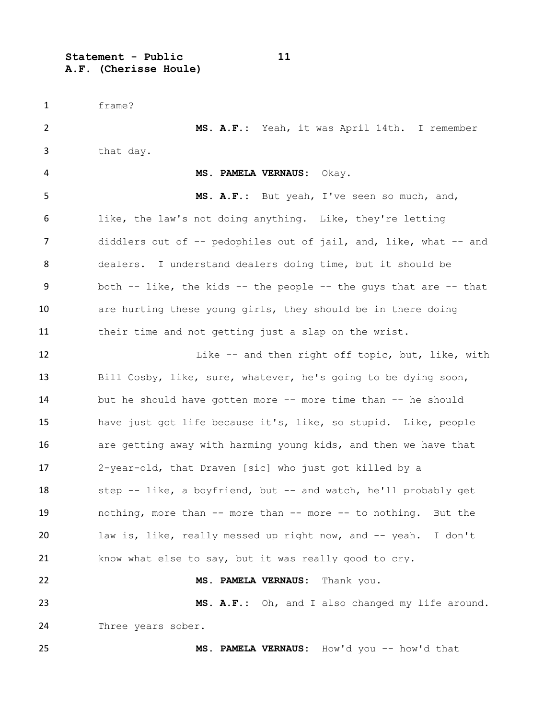**Statement - Public 11 A.F. (Cherisse Houle)**

 frame? **MS. A.F.:** Yeah, it was April 14th. I remember that day. **MS. PAMELA VERNAUS:** Okay. **MS. A.F.:** But yeah, I've seen so much, and, like, the law's not doing anything. Like, they're letting diddlers out of -- pedophiles out of jail, and, like, what -- and dealers. I understand dealers doing time, but it should be both -- like, the kids -- the people -- the guys that are -- that 10 are hurting these young girls, they should be in there doing their time and not getting just a slap on the wrist. 12 Like -- and then right off topic, but, like, with Bill Cosby, like, sure, whatever, he's going to be dying soon, but he should have gotten more -- more time than -- he should have just got life because it's, like, so stupid. Like, people 16 are getting away with harming young kids, and then we have that 2-year-old, that Draven [sic] who just got killed by a 18 step -- like, a boyfriend, but -- and watch, he'll probably get nothing, more than -- more than -- more -- to nothing. But the law is, like, really messed up right now, and -- yeah. I don't know what else to say, but it was really good to cry. **MS. PAMELA VERNAUS:** Thank you. **MS. A.F.:** Oh, and I also changed my life around. Three years sober. **MS. PAMELA VERNAUS:** How'd you -- how'd that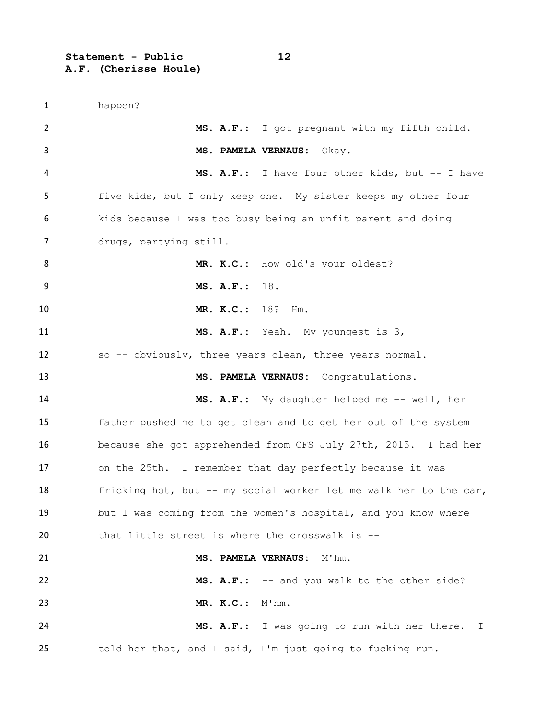**Statement - Public 12 A.F. (Cherisse Houle)**

 happen? **MS. A.F.:** I got pregnant with my fifth child. **MS. PAMELA VERNAUS:** Okay. **MS. A.F.:** I have four other kids, but -- I have five kids, but I only keep one. My sister keeps my other four kids because I was too busy being an unfit parent and doing drugs, partying still. **MR. K.C.:** How old's your oldest? **MS. A.F.:** 18. **MR. K.C.:** 18? Hm. **MS. A.F.:** Yeah. My youngest is 3, so -- obviously, three years clean, three years normal. **MS. PAMELA VERNAUS:** Congratulations. **MS. A.F.:** My daughter helped me -- well, her father pushed me to get clean and to get her out of the system because she got apprehended from CFS July 27th, 2015. I had her on the 25th. I remember that day perfectly because it was 18 fricking hot, but -- my social worker let me walk her to the car, 19 but I was coming from the women's hospital, and you know where that little street is where the crosswalk is -- **MS. PAMELA VERNAUS:** M'hm. **MS. A.F.:** -- and you walk to the other side? **MR. K.C.:** M'hm. **MS. A.F.:** I was going to run with her there. I told her that, and I said, I'm just going to fucking run.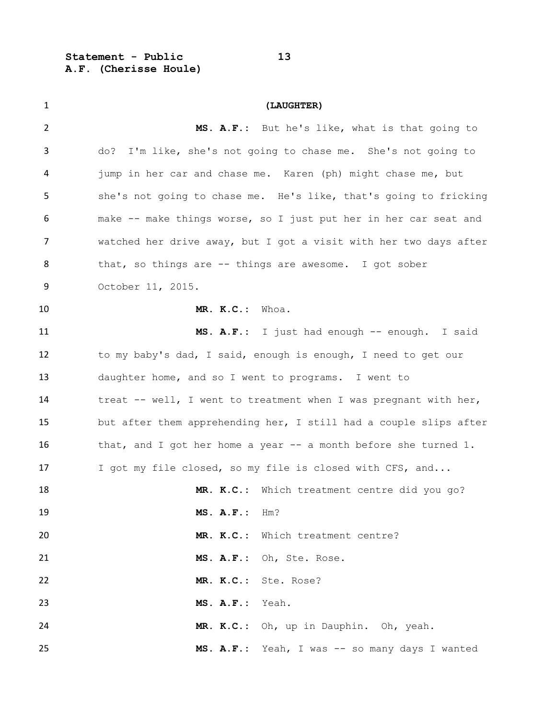**Statement - Public 13 A.F. (Cherisse Houle)**

| $\mathbf{1}$   | (LAUGHTER)                                                        |
|----------------|-------------------------------------------------------------------|
| $\overline{2}$ | MS. A.F.: But he's like, what is that going to                    |
| 3              | I'm like, she's not going to chase me. She's not going to<br>do?  |
| 4              | jump in her car and chase me. Karen (ph) might chase me, but      |
| 5              | she's not going to chase me. He's like, that's going to fricking  |
| 6              | make -- make things worse, so I just put her in her car seat and  |
| 7              | watched her drive away, but I got a visit with her two days after |
| 8              | that, so things are -- things are awesome. I got sober            |
| 9              | October 11, 2015.                                                 |
| 10             | MR. K.C.: Whoa.                                                   |
| 11             | MS. A.F.: I just had enough -- enough. I said                     |
| 12             | to my baby's dad, I said, enough is enough, I need to get our     |
| 13             | daughter home, and so I went to programs. I went to               |
| 14             | treat -- well, I went to treatment when I was pregnant with her,  |
| 15             | but after them apprehending her, I still had a couple slips after |
| 16             | that, and I got her home a year $-$ a month before she turned 1.  |
| 17             | I got my file closed, so my file is closed with CFS, and          |
| 18             | MR. K.C.: Which treatment centre did you go?                      |
| 19             | MS. A.F.: Hm?                                                     |
| 20             | MR. K.C.: Which treatment centre?                                 |
| 21             | MS. A.F.: Oh, Ste. Rose.                                          |
| 22             | MR. K.C.: Ste. Rose?                                              |
| 23             | MS. A.F.: Yeah.                                                   |
| 24             | MR. K.C.: Oh, up in Dauphin. Oh, yeah.                            |
| 25             | MS. A.F.: Yeah, I was -- so many days I wanted                    |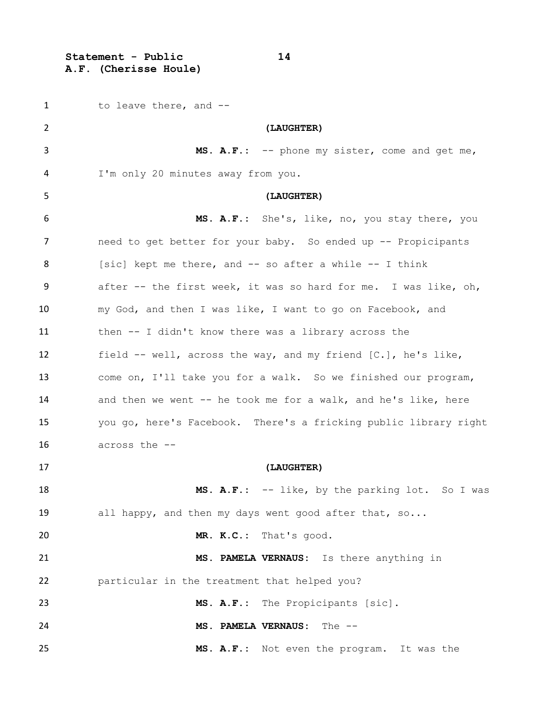**Statement - Public 14 A.F. (Cherisse Houle)**

| 1  | to leave there, and --                                           |
|----|------------------------------------------------------------------|
| 2  | (LAUGHTER)                                                       |
| 3  | MS. A.F.: -- phone my sister, come and get me,                   |
| 4  | I'm only 20 minutes away from you.                               |
| 5  | (LAUGHTER)                                                       |
| 6  | MS. A.F.: She's, like, no, you stay there, you                   |
| 7  | need to get better for your baby. So ended up -- Propicipants    |
| 8  | [sic] kept me there, and -- so after a while -- I think          |
| 9  | after -- the first week, it was so hard for me. I was like, oh,  |
| 10 | my God, and then I was like, I want to go on Facebook, and       |
| 11 | then -- I didn't know there was a library across the             |
| 12 | field -- well, across the way, and my friend [C.], he's like,    |
| 13 | come on, I'll take you for a walk. So we finished our program,   |
| 14 | and then we went -- he took me for a walk, and he's like, here   |
| 15 | you go, here's Facebook. There's a fricking public library right |
| 16 | across the --                                                    |
| 17 | (LAUGHTER)                                                       |
| 18 | MS. A.F.: -- like, by the parking lot. So I was                  |
| 19 | all happy, and then my days went good after that, so             |
| 20 | MR. K.C.: That's good.                                           |
| 21 | MS. PAMELA VERNAUS: Is there anything in                         |
| 22 | particular in the treatment that helped you?                     |
| 23 | MS. A.F.: The Propicipants [sic].                                |
| 24 | MS. PAMELA VERNAUS:<br>The $--$                                  |
| 25 | MS. A.F.: Not even the program. It was the                       |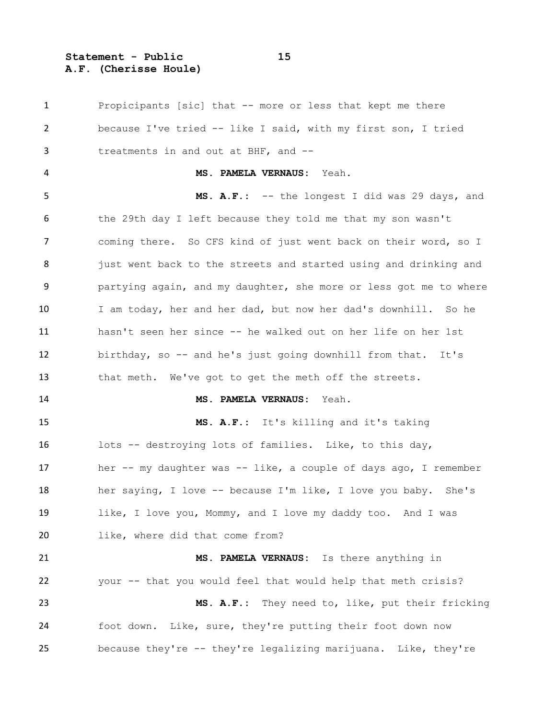**Statement - Public 15 A.F. (Cherisse Houle)**

 Propicipants [sic] that -- more or less that kept me there because I've tried -- like I said, with my first son, I tried treatments in and out at BHF, and -- **MS. PAMELA VERNAUS:** Yeah. **MS. A.F.:** -- the longest I did was 29 days, and the 29th day I left because they told me that my son wasn't coming there. So CFS kind of just went back on their word, so I 8 just went back to the streets and started using and drinking and partying again, and my daughter, she more or less got me to where I am today, her and her dad, but now her dad's downhill. So he hasn't seen her since -- he walked out on her life on her 1st birthday, so -- and he's just going downhill from that. It's that meth. We've got to get the meth off the streets. **MS. PAMELA VERNAUS:** Yeah. **MS. A.F.:** It's killing and it's taking lots -- destroying lots of families. Like, to this day, her -- my daughter was -- like, a couple of days ago, I remember her saying, I love -- because I'm like, I love you baby. She's 19 like, I love you, Mommy, and I love my daddy too. And I was 20 like, where did that come from? **MS. PAMELA VERNAUS:** Is there anything in your -- that you would feel that would help that meth crisis? **MS. A.F.:** They need to, like, put their fricking foot down. Like, sure, they're putting their foot down now because they're -- they're legalizing marijuana. Like, they're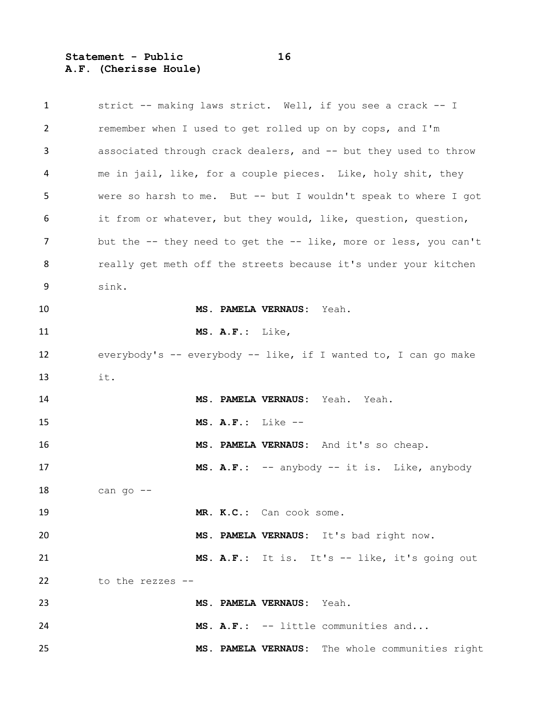**Statement - Public 16 A.F. (Cherisse Houle)**

 strict -- making laws strict. Well, if you see a crack -- I remember when I used to get rolled up on by cops, and I'm associated through crack dealers, and -- but they used to throw me in jail, like, for a couple pieces. Like, holy shit, they were so harsh to me. But -- but I wouldn't speak to where I got it from or whatever, but they would, like, question, question, but the -- they need to get the -- like, more or less, you can't **8** really get meth off the streets because it's under your kitchen sink. **MS. PAMELA VERNAUS:** Yeah. **MS. A.F.:** Like, everybody's -- everybody -- like, if I wanted to, I can go make it. **MS. PAMELA VERNAUS:** Yeah. Yeah. **MS. A.F.:** Like -- **MS. PAMELA VERNAUS:** And it's so cheap. **MS. A.F.:** -- anybody -- it is. Like, anybody can go  $-$  **MR. K.C.:** Can cook some. **MS. PAMELA VERNAUS:** It's bad right now. **MS. A.F.:** It is. It's -- like, it's going out to the rezzes -- **MS. PAMELA VERNAUS:** Yeah. **MS. A.F.:** -- little communities and... **MS. PAMELA VERNAUS:** The whole communities right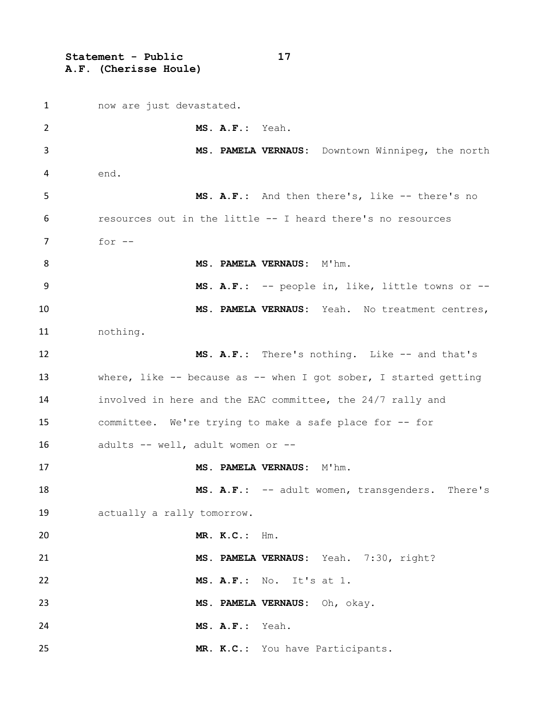**Statement - Public 17 A.F. (Cherisse Houle)**

1 now are just devastated. **MS. A.F.:** Yeah. **MS. PAMELA VERNAUS:** Downtown Winnipeg, the north end. **MS. A.F.:** And then there's, like -- there's no resources out in the little -- I heard there's no resources for -- **MS. PAMELA VERNAUS:** M'hm. **MS. A.F.:** -- people in, like, little towns or -- **MS. PAMELA VERNAUS:** Yeah. No treatment centres, nothing. **MS. A.F.:** There's nothing. Like -- and that's 13 where, like -- because as -- when I got sober, I started getting involved in here and the EAC committee, the 24/7 rally and committee. We're trying to make a safe place for -- for adults -- well, adult women or -- 17 MS. PAMELA VERNAUS: M'hm. **MS. A.F.:** -- adult women, transgenders. There's actually a rally tomorrow. **MR. K.C.:** Hm. **MS. PAMELA VERNAUS:** Yeah. 7:30, right? **MS. A.F.:** No. It's at 1. **MS. PAMELA VERNAUS:** Oh, okay. **MS. A.F.:** Yeah. **MR. K.C.:** You have Participants.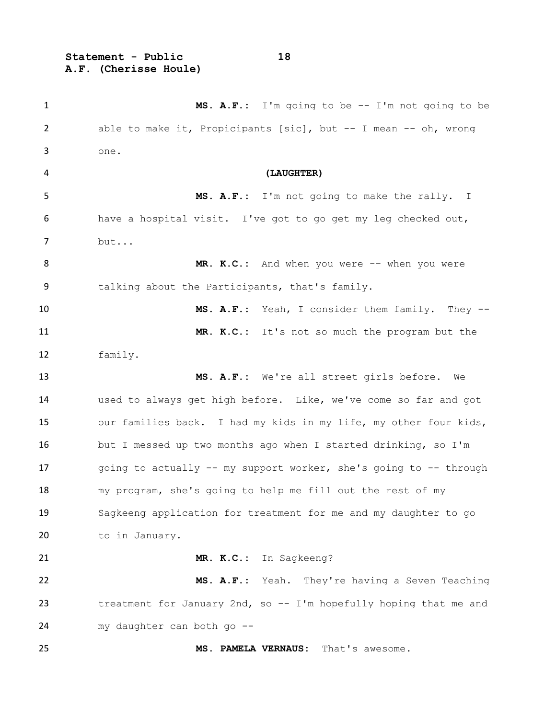**Statement - Public 18 A.F. (Cherisse Houle)**

 **MS. A.F.:** I'm going to be -- I'm not going to be able to make it, Propicipants [sic], but -- I mean -- oh, wrong one. **(LAUGHTER) MS. A.F.:** I'm not going to make the rally. I have a hospital visit. I've got to go get my leg checked out, but... 8 MR. K.C.: And when you were -- when you were talking about the Participants, that's family. **MS. A.F.:** Yeah, I consider them family. They -- **MR. K.C.:** It's not so much the program but the family. **MS. A.F.:** We're all street girls before. We used to always get high before. Like, we've come so far and got our families back. I had my kids in my life, my other four kids, but I messed up two months ago when I started drinking, so I'm 17 going to actually -- my support worker, she's going to -- through my program, she's going to help me fill out the rest of my Sagkeeng application for treatment for me and my daughter to go 20 to in January. **MR. K.C.:** In Sagkeeng? **MS. A.F.:** Yeah. They're having a Seven Teaching 23 treatment for January 2nd, so -- I'm hopefully hoping that me and my daughter can both go -- **MS. PAMELA VERNAUS:** That's awesome.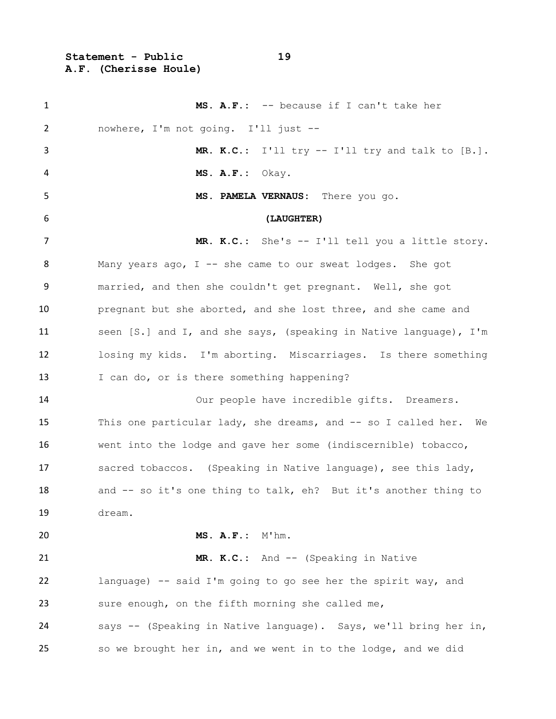**Statement - Public 19 A.F. (Cherisse Houle)**

 **MS. A.F.:** -- because if I can't take her nowhere, I'm not going. I'll just -- **MR. K.C.:** I'll try -- I'll try and talk to [B.]. **MS. A.F.:** Okay. **MS. PAMELA VERNAUS:** There you go. **(LAUGHTER) MR. K.C.:** She's -- I'll tell you a little story. Many years ago, I -- she came to our sweat lodges. She got married, and then she couldn't get pregnant. Well, she got pregnant but she aborted, and she lost three, and she came and seen [S.] and I, and she says, (speaking in Native language), I'm losing my kids. I'm aborting. Miscarriages. Is there something 13 I can do, or is there something happening? Our people have incredible gifts. Dreamers. This one particular lady, she dreams, and -- so I called her. We went into the lodge and gave her some (indiscernible) tobacco, sacred tobaccos. (Speaking in Native language), see this lady, 18 and -- so it's one thing to talk, eh? But it's another thing to dream. **MS. A.F.:** M'hm. 21 MR. K.C.: And -- (Speaking in Native language) -- said I'm going to go see her the spirit way, and sure enough, on the fifth morning she called me, says -- (Speaking in Native language). Says, we'll bring her in, so we brought her in, and we went in to the lodge, and we did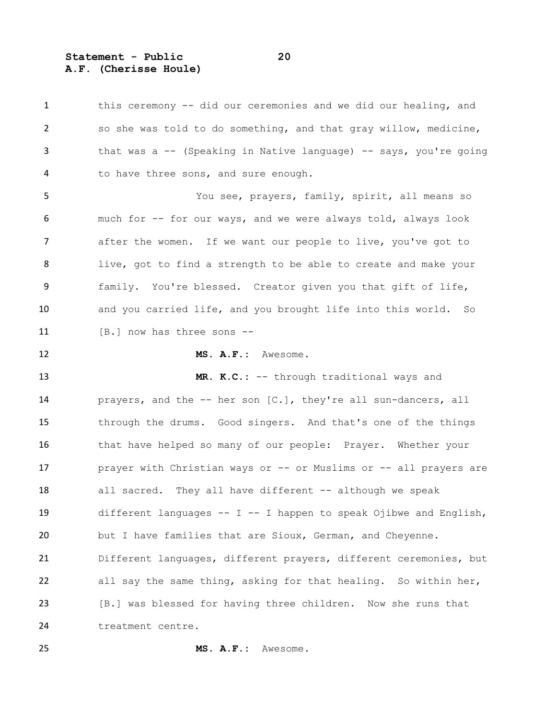**Statement - Public 20 A.F. (Cherisse Houle)**

1 this ceremony -- did our ceremonies and we did our healing, and so she was told to do something, and that gray willow, medicine, 3 that was a -- (Speaking in Native language) -- says, you're going 4 to have three sons, and sure enough. You see, prayers, family, spirit, all means so much for -- for our ways, and we were always told, always look after the women. If we want our people to live, you've got to live, got to find a strength to be able to create and make your family. You're blessed. Creator given you that gift of life, and you carried life, and you brought life into this world. So 11 [B.] now has three sons -- **MS. A.F.:** Awesome. **MR. K.C.:** -- through traditional ways and prayers, and the -- her son [C.], they're all sun-dancers, all through the drums. Good singers. And that's one of the things 16 that have helped so many of our people: Prayer. Whether your **prayer with Christian ways or -- or Muslims or -- all prayers are** 18 all sacred. They all have different -- although we speak different languages -- I -- I happen to speak Ojibwe and English, but I have families that are Sioux, German, and Cheyenne. Different languages, different prayers, different ceremonies, but all say the same thing, asking for that healing. So within her, [B.] was blessed for having three children. Now she runs that treatment centre.

**MS. A.F.:** Awesome.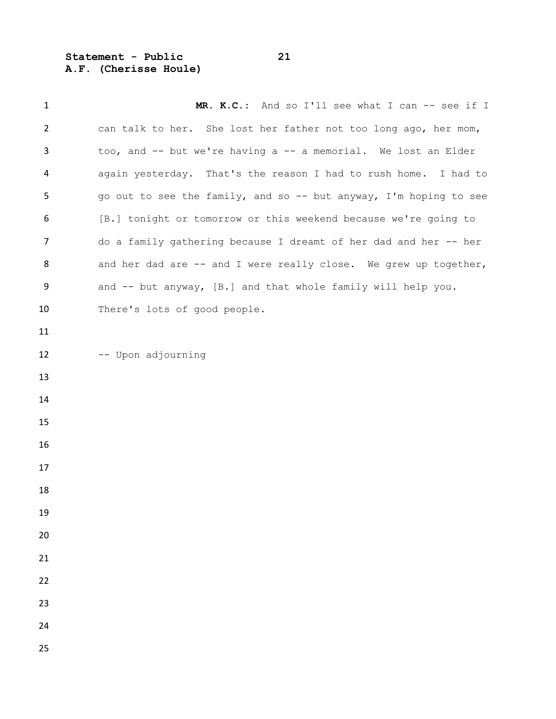**Statement - Public 21 A.F. (Cherisse Houle)**

1 MR. K.C.: And so I'll see what I can -- see if I can talk to her. She lost her father not too long ago, her mom, too, and -- but we're having a -- a memorial. We lost an Elder again yesterday. That's the reason I had to rush home. I had to go out to see the family, and so -- but anyway, I'm hoping to see [B.] tonight or tomorrow or this weekend because we're going to do a family gathering because I dreamt of her dad and her -- her 8 and her dad are -- and I were really close. We grew up together, 9 and -- but anyway, [B.] and that whole family will help you. 10 There's lots of good people. -- Upon adjourning